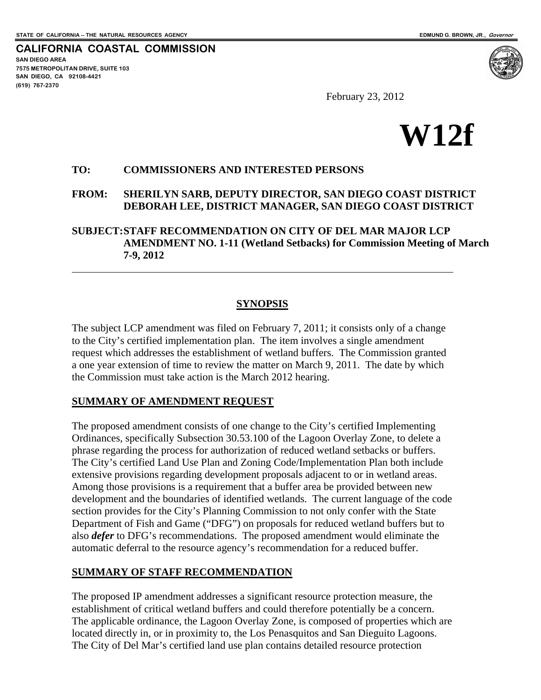**SAN DIEGO AREA** 

**(619) 767-2370**

 $\overline{a}$ 

**CALIFORNIA COASTAL COMMISSION** 

**7575 METROPOLITAN DRIVE, SUITE 103 SAN DIEGO, CA 92108-4421** 

February 23, 2012



### **TO: COMMISSIONERS AND INTERESTED PERSONS**

**FROM: SHERILYN SARB, DEPUTY DIRECTOR, SAN DIEGO COAST DISTRICT DEBORAH LEE, DISTRICT MANAGER, SAN DIEGO COAST DISTRICT** 

**SUBJECT: STAFF RECOMMENDATION ON CITY OF DEL MAR MAJOR LCP AMENDMENT NO. 1-11 (Wetland Setbacks) for Commission Meeting of March 7-9, 2012**

### **SYNOPSIS**

The subject LCP amendment was filed on February 7, 2011; it consists only of a change to the City's certified implementation plan. The item involves a single amendment request which addresses the establishment of wetland buffers. The Commission granted a one year extension of time to review the matter on March 9, 2011. The date by which the Commission must take action is the March 2012 hearing.

### **SUMMARY OF AMENDMENT REQUEST**

The proposed amendment consists of one change to the City's certified Implementing Ordinances, specifically Subsection 30.53.100 of the Lagoon Overlay Zone, to delete a phrase regarding the process for authorization of reduced wetland setbacks or buffers. The City's certified Land Use Plan and Zoning Code/Implementation Plan both include extensive provisions regarding development proposals adjacent to or in wetland areas. Among those provisions is a requirement that a buffer area be provided between new development and the boundaries of identified wetlands. The current language of the code section provides for the City's Planning Commission to not only confer with the State Department of Fish and Game ("DFG") on proposals for reduced wetland buffers but to also *defer* to DFG's recommendations. The proposed amendment would eliminate the automatic deferral to the resource agency's recommendation for a reduced buffer.

### **SUMMARY OF STAFF RECOMMENDATION**

The proposed IP amendment addresses a significant resource protection measure, the establishment of critical wetland buffers and could therefore potentially be a concern. The applicable ordinance, the Lagoon Overlay Zone, is composed of properties which are located directly in, or in proximity to, the Los Penasquitos and San Dieguito Lagoons. The City of Del Mar's certified land use plan contains detailed resource protection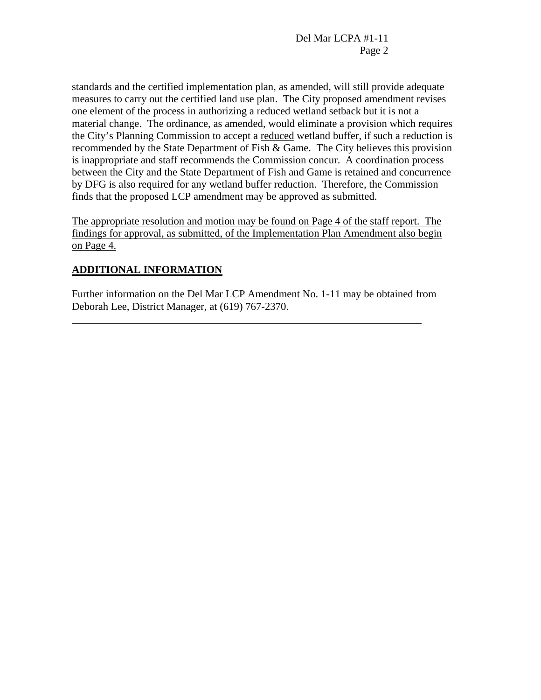standards and the certified implementation plan, as amended, will still provide adequate measures to carry out the certified land use plan. The City proposed amendment revises one element of the process in authorizing a reduced wetland setback but it is not a material change. The ordinance, as amended, would eliminate a provision which requires the City's Planning Commission to accept a reduced wetland buffer, if such a reduction is recommended by the State Department of Fish & Game. The City believes this provision is inappropriate and staff recommends the Commission concur. A coordination process between the City and the State Department of Fish and Game is retained and concurrence by DFG is also required for any wetland buffer reduction. Therefore, the Commission finds that the proposed LCP amendment may be approved as submitted.

The appropriate resolution and motion may be found on Page 4 of the staff report. The findings for approval, as submitted, of the Implementation Plan Amendment also begin on Page 4.

# **ADDITIONAL INFORMATION**

 $\overline{a}$ 

Further information on the Del Mar LCP Amendment No. 1-11 may be obtained from Deborah Lee, District Manager, at (619) 767-2370.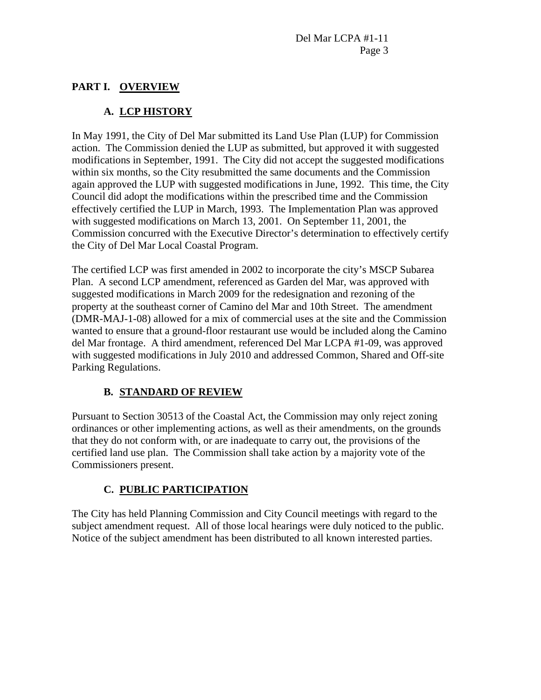## **PART I. OVERVIEW**

## **A. LCP HISTORY**

In May 1991, the City of Del Mar submitted its Land Use Plan (LUP) for Commission action. The Commission denied the LUP as submitted, but approved it with suggested modifications in September, 1991. The City did not accept the suggested modifications within six months, so the City resubmitted the same documents and the Commission again approved the LUP with suggested modifications in June, 1992. This time, the City Council did adopt the modifications within the prescribed time and the Commission effectively certified the LUP in March, 1993. The Implementation Plan was approved with suggested modifications on March 13, 2001. On September 11, 2001, the Commission concurred with the Executive Director's determination to effectively certify the City of Del Mar Local Coastal Program.

The certified LCP was first amended in 2002 to incorporate the city's MSCP Subarea Plan. A second LCP amendment, referenced as Garden del Mar, was approved with suggested modifications in March 2009 for the redesignation and rezoning of the property at the southeast corner of Camino del Mar and 10th Street. The amendment (DMR-MAJ-1-08) allowed for a mix of commercial uses at the site and the Commission wanted to ensure that a ground-floor restaurant use would be included along the Camino del Mar frontage. A third amendment, referenced Del Mar LCPA #1-09, was approved with suggested modifications in July 2010 and addressed Common, Shared and Off-site Parking Regulations.

## **B. STANDARD OF REVIEW**

Pursuant to Section 30513 of the Coastal Act, the Commission may only reject zoning ordinances or other implementing actions, as well as their amendments, on the grounds that they do not conform with, or are inadequate to carry out, the provisions of the certified land use plan. The Commission shall take action by a majority vote of the Commissioners present.

## **C. PUBLIC PARTICIPATION**

The City has held Planning Commission and City Council meetings with regard to the subject amendment request. All of those local hearings were duly noticed to the public. Notice of the subject amendment has been distributed to all known interested parties.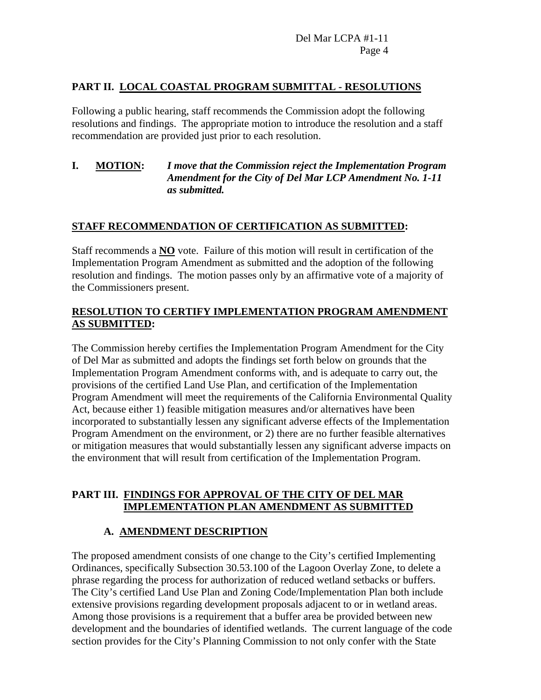## **PART II. LOCAL COASTAL PROGRAM SUBMITTAL - RESOLUTIONS**

Following a public hearing, staff recommends the Commission adopt the following resolutions and findings. The appropriate motion to introduce the resolution and a staff recommendation are provided just prior to each resolution.

### **I. MOTION:** *I move that the Commission reject the Implementation Program Amendment for the City of Del Mar LCP Amendment No. 1-11 as submitted.*

## **STAFF RECOMMENDATION OF CERTIFICATION AS SUBMITTED:**

Staff recommends a **NO** vote. Failure of this motion will result in certification of the Implementation Program Amendment as submitted and the adoption of the following resolution and findings. The motion passes only by an affirmative vote of a majority of the Commissioners present.

### **RESOLUTION TO CERTIFY IMPLEMENTATION PROGRAM AMENDMENT AS SUBMITTED:**

The Commission hereby certifies the Implementation Program Amendment for the City of Del Mar as submitted and adopts the findings set forth below on grounds that the Implementation Program Amendment conforms with, and is adequate to carry out, the provisions of the certified Land Use Plan, and certification of the Implementation Program Amendment will meet the requirements of the California Environmental Quality Act, because either 1) feasible mitigation measures and/or alternatives have been incorporated to substantially lessen any significant adverse effects of the Implementation Program Amendment on the environment, or 2) there are no further feasible alternatives or mitigation measures that would substantially lessen any significant adverse impacts on the environment that will result from certification of the Implementation Program.

### **PART III. FINDINGS FOR APPROVAL OF THE CITY OF DEL MAR IMPLEMENTATION PLAN AMENDMENT AS SUBMITTED**

## **A. AMENDMENT DESCRIPTION**

The proposed amendment consists of one change to the City's certified Implementing Ordinances, specifically Subsection 30.53.100 of the Lagoon Overlay Zone, to delete a phrase regarding the process for authorization of reduced wetland setbacks or buffers. The City's certified Land Use Plan and Zoning Code/Implementation Plan both include extensive provisions regarding development proposals adjacent to or in wetland areas. Among those provisions is a requirement that a buffer area be provided between new development and the boundaries of identified wetlands. The current language of the code section provides for the City's Planning Commission to not only confer with the State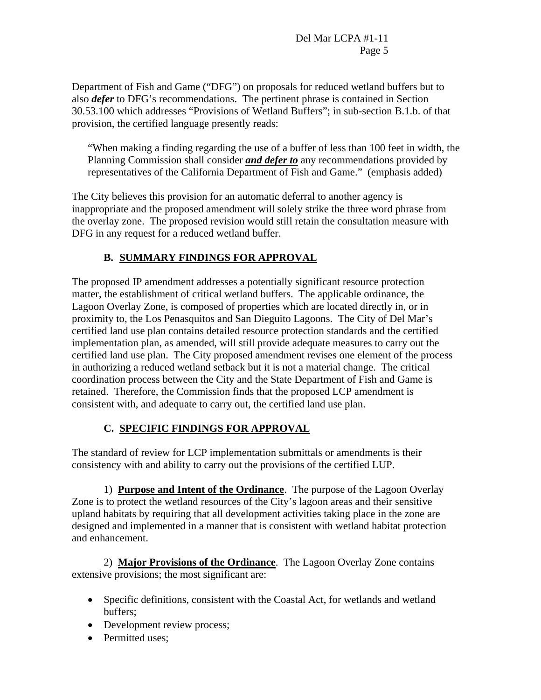Department of Fish and Game ("DFG") on proposals for reduced wetland buffers but to also *defer* to DFG's recommendations. The pertinent phrase is contained in Section 30.53.100 which addresses "Provisions of Wetland Buffers"; in sub-section B.1.b. of that provision, the certified language presently reads:

"When making a finding regarding the use of a buffer of less than 100 feet in width, the Planning Commission shall consider *and defer to* any recommendations provided by representatives of the California Department of Fish and Game." (emphasis added)

The City believes this provision for an automatic deferral to another agency is inappropriate and the proposed amendment will solely strike the three word phrase from the overlay zone. The proposed revision would still retain the consultation measure with DFG in any request for a reduced wetland buffer.

# **B. SUMMARY FINDINGS FOR APPROVAL**

The proposed IP amendment addresses a potentially significant resource protection matter, the establishment of critical wetland buffers. The applicable ordinance, the Lagoon Overlay Zone, is composed of properties which are located directly in, or in proximity to, the Los Penasquitos and San Dieguito Lagoons. The City of Del Mar's certified land use plan contains detailed resource protection standards and the certified implementation plan, as amended, will still provide adequate measures to carry out the certified land use plan. The City proposed amendment revises one element of the process in authorizing a reduced wetland setback but it is not a material change. The critical coordination process between the City and the State Department of Fish and Game is retained. Therefore, the Commission finds that the proposed LCP amendment is consistent with, and adequate to carry out, the certified land use plan.

## **C. SPECIFIC FINDINGS FOR APPROVAL**

The standard of review for LCP implementation submittals or amendments is their consistency with and ability to carry out the provisions of the certified LUP.

 1) **Purpose and Intent of the Ordinance**. The purpose of the Lagoon Overlay Zone is to protect the wetland resources of the City's lagoon areas and their sensitive upland habitats by requiring that all development activities taking place in the zone are designed and implemented in a manner that is consistent with wetland habitat protection and enhancement.

 2) **Major Provisions of the Ordinance**. The Lagoon Overlay Zone contains extensive provisions; the most significant are:

- Specific definitions, consistent with the Coastal Act, for wetlands and wetland buffers;
- Development review process;
- Permitted uses: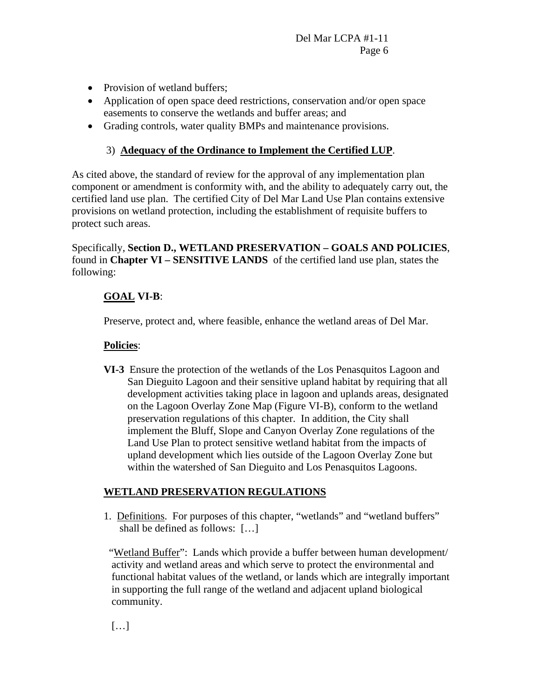- Provision of wetland buffers;
- Application of open space deed restrictions, conservation and/or open space easements to conserve the wetlands and buffer areas; and
- Grading controls, water quality BMPs and maintenance provisions.

## 3) **Adequacy of the Ordinance to Implement the Certified LUP**.

As cited above, the standard of review for the approval of any implementation plan component or amendment is conformity with, and the ability to adequately carry out, the certified land use plan. The certified City of Del Mar Land Use Plan contains extensive provisions on wetland protection, including the establishment of requisite buffers to protect such areas.

Specifically, **Section D., WETLAND PRESERVATION – GOALS AND POLICIES**, found in **Chapter VI – SENSITIVE LANDS** of the certified land use plan, states the following:

## **GOAL VI-B**:

Preserve, protect and, where feasible, enhance the wetland areas of Del Mar.

## **Policies**:

**VI-3** Ensure the protection of the wetlands of the Los Penasquitos Lagoon and San Dieguito Lagoon and their sensitive upland habitat by requiring that all development activities taking place in lagoon and uplands areas, designated on the Lagoon Overlay Zone Map (Figure VI-B), conform to the wetland preservation regulations of this chapter. In addition, the City shall implement the Bluff, Slope and Canyon Overlay Zone regulations of the Land Use Plan to protect sensitive wetland habitat from the impacts of upland development which lies outside of the Lagoon Overlay Zone but within the watershed of San Dieguito and Los Penasquitos Lagoons.

## **WETLAND PRESERVATION REGULATIONS**

 1. Definitions. For purposes of this chapter, "wetlands" and "wetland buffers" shall be defined as follows: […]

 "Wetland Buffer": Lands which provide a buffer between human development/ activity and wetland areas and which serve to protect the environmental and functional habitat values of the wetland, or lands which are integrally important in supporting the full range of the wetland and adjacent upland biological community.

 $[...]$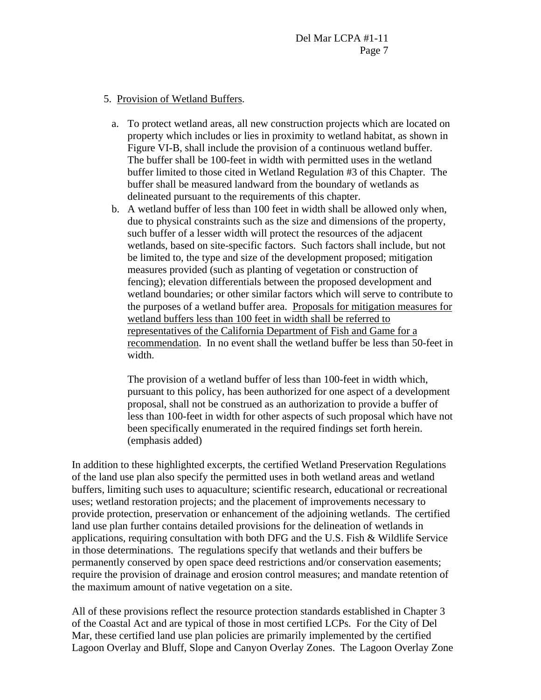### 5. Provision of Wetland Buffers.

- a. To protect wetland areas, all new construction projects which are located on property which includes or lies in proximity to wetland habitat, as shown in Figure VI-B, shall include the provision of a continuous wetland buffer. The buffer shall be 100-feet in width with permitted uses in the wetland buffer limited to those cited in Wetland Regulation #3 of this Chapter. The buffer shall be measured landward from the boundary of wetlands as delineated pursuant to the requirements of this chapter.
- b. A wetland buffer of less than 100 feet in width shall be allowed only when, due to physical constraints such as the size and dimensions of the property, such buffer of a lesser width will protect the resources of the adjacent wetlands, based on site-specific factors. Such factors shall include, but not be limited to, the type and size of the development proposed; mitigation measures provided (such as planting of vegetation or construction of fencing); elevation differentials between the proposed development and wetland boundaries; or other similar factors which will serve to contribute to the purposes of a wetland buffer area. Proposals for mitigation measures for wetland buffers less than 100 feet in width shall be referred to representatives of the California Department of Fish and Game for a recommendation. In no event shall the wetland buffer be less than 50-feet in width.

The provision of a wetland buffer of less than 100-feet in width which, pursuant to this policy, has been authorized for one aspect of a development proposal, shall not be construed as an authorization to provide a buffer of less than 100-feet in width for other aspects of such proposal which have not been specifically enumerated in the required findings set forth herein. (emphasis added)

In addition to these highlighted excerpts, the certified Wetland Preservation Regulations of the land use plan also specify the permitted uses in both wetland areas and wetland buffers, limiting such uses to aquaculture; scientific research, educational or recreational uses; wetland restoration projects; and the placement of improvements necessary to provide protection, preservation or enhancement of the adjoining wetlands. The certified land use plan further contains detailed provisions for the delineation of wetlands in applications, requiring consultation with both DFG and the U.S. Fish  $\&$  Wildlife Service in those determinations. The regulations specify that wetlands and their buffers be permanently conserved by open space deed restrictions and/or conservation easements; require the provision of drainage and erosion control measures; and mandate retention of the maximum amount of native vegetation on a site.

All of these provisions reflect the resource protection standards established in Chapter 3 of the Coastal Act and are typical of those in most certified LCPs. For the City of Del Mar, these certified land use plan policies are primarily implemented by the certified Lagoon Overlay and Bluff, Slope and Canyon Overlay Zones. The Lagoon Overlay Zone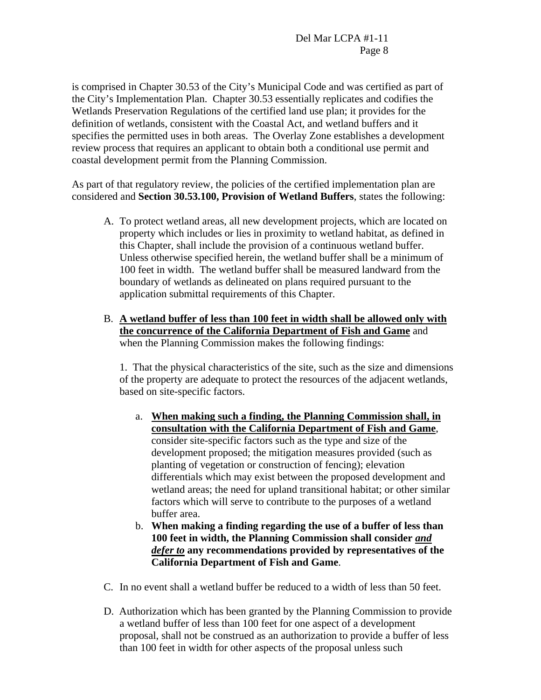is comprised in Chapter 30.53 of the City's Municipal Code and was certified as part of the City's Implementation Plan. Chapter 30.53 essentially replicates and codifies the Wetlands Preservation Regulations of the certified land use plan; it provides for the definition of wetlands, consistent with the Coastal Act, and wetland buffers and it specifies the permitted uses in both areas. The Overlay Zone establishes a development review process that requires an applicant to obtain both a conditional use permit and coastal development permit from the Planning Commission.

As part of that regulatory review, the policies of the certified implementation plan are considered and **Section 30.53.100, Provision of Wetland Buffers**, states the following:

- A. To protect wetland areas, all new development projects, which are located on property which includes or lies in proximity to wetland habitat, as defined in this Chapter, shall include the provision of a continuous wetland buffer. Unless otherwise specified herein, the wetland buffer shall be a minimum of 100 feet in width. The wetland buffer shall be measured landward from the boundary of wetlands as delineated on plans required pursuant to the application submittal requirements of this Chapter.
- B. **A wetland buffer of less than 100 feet in width shall be allowed only with the concurrence of the California Department of Fish and Game** and when the Planning Commission makes the following findings:

1. That the physical characteristics of the site, such as the size and dimensions of the property are adequate to protect the resources of the adjacent wetlands, based on site-specific factors.

- a. **When making such a finding, the Planning Commission shall, in consultation with the California Department of Fish and Game**, consider site-specific factors such as the type and size of the development proposed; the mitigation measures provided (such as planting of vegetation or construction of fencing); elevation differentials which may exist between the proposed development and wetland areas; the need for upland transitional habitat; or other similar factors which will serve to contribute to the purposes of a wetland buffer area.
- b. **When making a finding regarding the use of a buffer of less than 100 feet in width, the Planning Commission shall consider** *and defer to* **any recommendations provided by representatives of the California Department of Fish and Game**.
- C. In no event shall a wetland buffer be reduced to a width of less than 50 feet.
- D. Authorization which has been granted by the Planning Commission to provide a wetland buffer of less than 100 feet for one aspect of a development proposal, shall not be construed as an authorization to provide a buffer of less than 100 feet in width for other aspects of the proposal unless such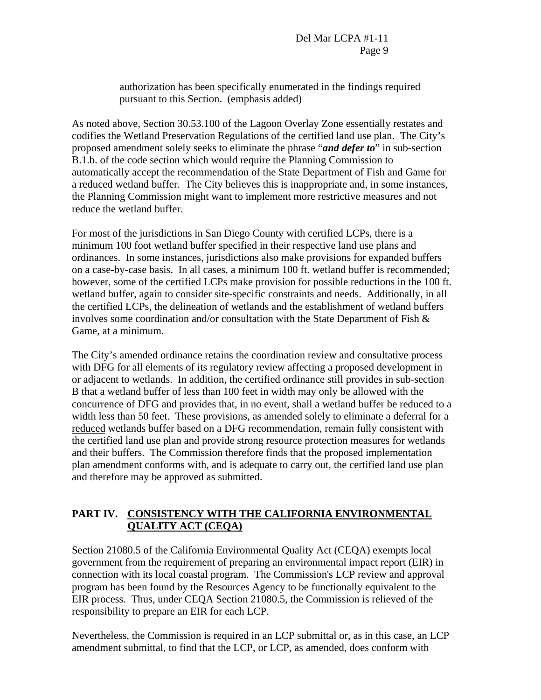authorization has been specifically enumerated in the findings required pursuant to this Section. (emphasis added)

As noted above, Section 30.53.100 of the Lagoon Overlay Zone essentially restates and codifies the Wetland Preservation Regulations of the certified land use plan. The City's proposed amendment solely seeks to eliminate the phrase "*and defer to*" in sub-section B.1.b. of the code section which would require the Planning Commission to automatically accept the recommendation of the State Department of Fish and Game for a reduced wetland buffer. The City believes this is inappropriate and, in some instances, the Planning Commission might want to implement more restrictive measures and not reduce the wetland buffer.

For most of the jurisdictions in San Diego County with certified LCPs, there is a minimum 100 foot wetland buffer specified in their respective land use plans and ordinances. In some instances, jurisdictions also make provisions for expanded buffers on a case-by-case basis. In all cases, a minimum 100 ft. wetland buffer is recommended; however, some of the certified LCPs make provision for possible reductions in the 100 ft. wetland buffer, again to consider site-specific constraints and needs. Additionally, in all the certified LCPs, the delineation of wetlands and the establishment of wetland buffers involves some coordination and/or consultation with the State Department of Fish  $\&$ Game, at a minimum.

The City's amended ordinance retains the coordination review and consultative process with DFG for all elements of its regulatory review affecting a proposed development in or adjacent to wetlands. In addition, the certified ordinance still provides in sub-section B that a wetland buffer of less than 100 feet in width may only be allowed with the concurrence of DFG and provides that, in no event, shall a wetland buffer be reduced to a width less than 50 feet. These provisions, as amended solely to eliminate a deferral for a reduced wetlands buffer based on a DFG recommendation, remain fully consistent with the certified land use plan and provide strong resource protection measures for wetlands and their buffers. The Commission therefore finds that the proposed implementation plan amendment conforms with, and is adequate to carry out, the certified land use plan and therefore may be approved as submitted.

## **PART IV. CONSISTENCY WITH THE CALIFORNIA ENVIRONMENTAL QUALITY ACT (CEQA)**

Section 21080.5 of the California Environmental Quality Act (CEQA) exempts local government from the requirement of preparing an environmental impact report (EIR) in connection with its local coastal program. The Commission's LCP review and approval program has been found by the Resources Agency to be functionally equivalent to the EIR process. Thus, under CEQA Section 21080.5, the Commission is relieved of the responsibility to prepare an EIR for each LCP.

Nevertheless, the Commission is required in an LCP submittal or, as in this case, an LCP amendment submittal, to find that the LCP, or LCP, as amended, does conform with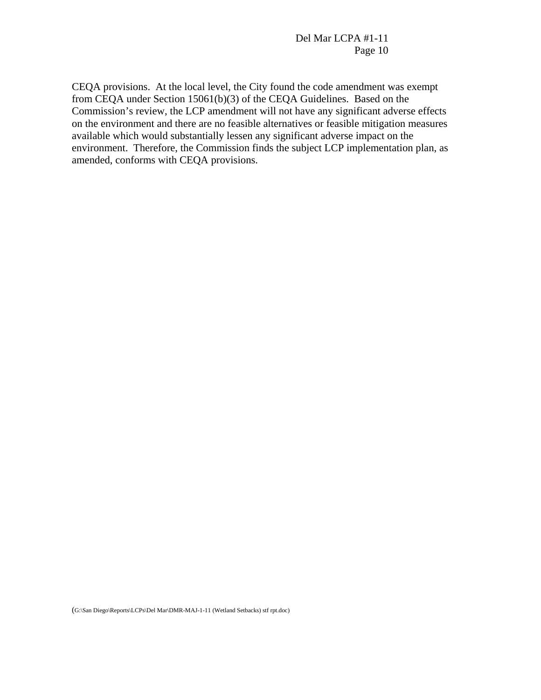Del Mar LCPA #1-11 Page 10

CEQA provisions. At the local level, the City found the code amendment was exempt from CEQA under Section 15061(b)(3) of the CEQA Guidelines. Based on the Commission's review, the LCP amendment will not have any significant adverse effects on the environment and there are no feasible alternatives or feasible mitigation measures available which would substantially lessen any significant adverse impact on the environment. Therefore, the Commission finds the subject LCP implementation plan, as amended, conforms with CEQA provisions.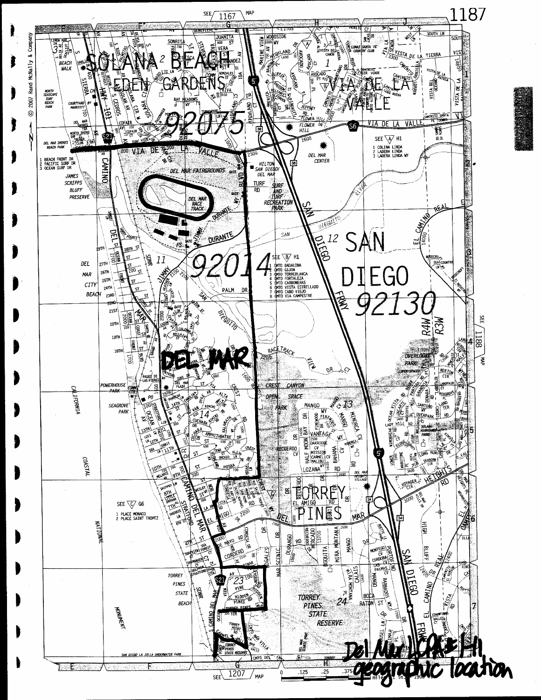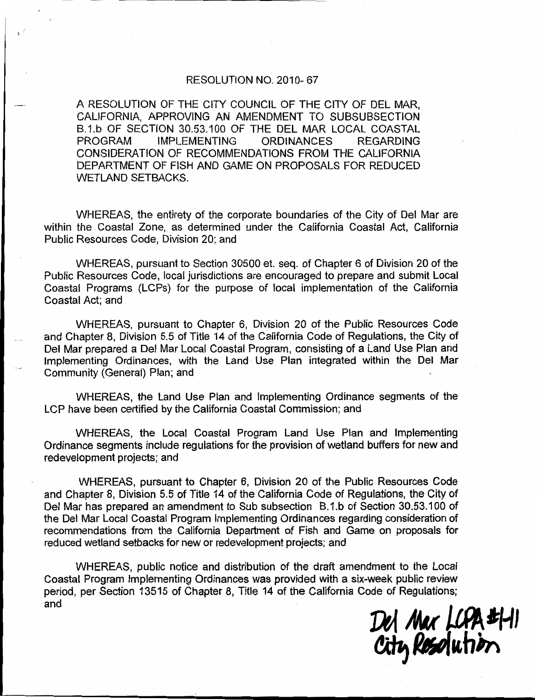#### RESOLUTION NO. 2010-67

A RESOLUTION OF THE CITY COUNCIL OF THE CITY OF DEL MAR. CALIFORNIA. APPROVING AN AMENDMENT TO SUBSUBSECTION B.1.b OF SECTION 30.53.100 OF THE DEL MAR LOCAL COASTAL **PROGRAM IMPLEMENTING ORDINANCES REGARDING** CONSIDERATION OF RECOMMENDATIONS FROM THE CALIFORNIA DEPARTMENT OF FISH AND GAME ON PROPOSALS FOR REDUCED **WETLAND SETBACKS.** 

WHEREAS, the entirety of the corporate boundaries of the City of Del Mar are within the Coastal Zone, as determined under the California Coastal Act, California Public Resources Code, Division 20; and

WHEREAS, pursuant to Section 30500 et. seq. of Chapter 6 of Division 20 of the Public Resources Code, local jurisdictions are encouraged to prepare and submit Local Coastal Programs (LCPs) for the purpose of local implementation of the California Coastal Act; and

WHEREAS, pursuant to Chapter 6, Division 20 of the Public Resources Code and Chapter 8, Division 5.5 of Title 14 of the California Code of Regulations, the City of Del Mar prepared a Del Mar Local Coastal Program, consisting of a Land Use Plan and Implementing Ordinances, with the Land Use Plan integrated within the Del Mar Community (General) Plan; and

WHEREAS, the Land Use Plan and Implementing Ordinance segments of the LCP have been certified by the California Coastal Commission; and

WHEREAS, the Local Coastal Program Land Use Plan and Implementing Ordinance segments include regulations for the provision of wetland buffers for new and redevelopment projects; and

WHEREAS, pursuant to Chapter 6, Division 20 of the Public Resources Code and Chapter 8, Division 5.5 of Title 14 of the California Code of Regulations, the City of Del Mar has prepared an amendment to Sub subsection B.1.b of Section 30.53.100 of the Del Mar Local Coastal Program Implementing Ordinances regarding consideration of recommendations from the California Department of Fish and Game on proposals for reduced wetland setbacks for new or redevelopment projects; and

WHEREAS, public notice and distribution of the draft amendment to the Local Coastal Program Implementing Ordinances was provided with a six-week public review period, per Section 13515 of Chapter 8, Title 14 of the California Code of Regulations; and

Del Mar LCPA #1-11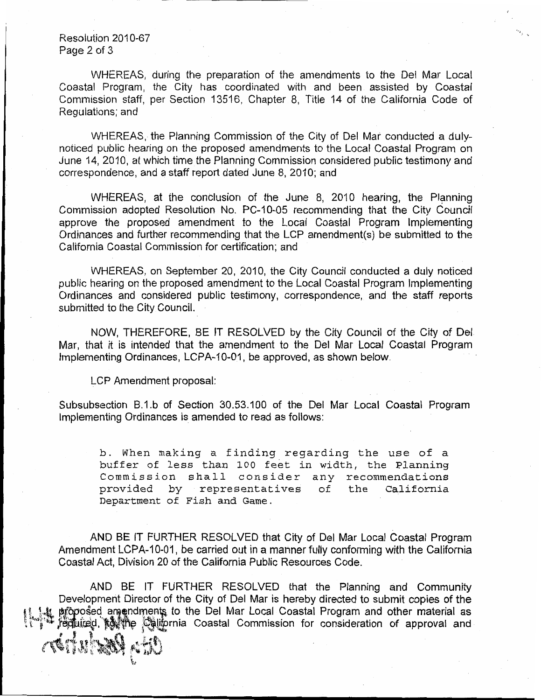Resolution 2010-67 Page 2 of 3

WHEREAS, during the preparation of the amendments to the Del Mar Local Coastal Program, the City has coordinated with and been assisted by Coastal Commission staff, per Section 13516, Chapter 8, Title 14 of the California Code of Regulations; and

WHEREAS, the Planning Commission of the City of Del Mar conducted a dulynoticed public hearing on the proposed amendments to the Local Coastal Program on June 14, 2010, at which time the Planning Commission considered public testimony and correspondence, and a staff report dated June 8, 2010; and

WHEREAS, at the conclusion of the June 8, 2010 hearing, the Planning Commission adopted Resolution No. PC-10-05 recommending that the City Council approve the proposed amendment to the Local Coastal Program Implementing Ordinances and further recommending that the LCP amendment(s) be submitted to the California Coastal Commission for certification; and

WHEREAS, on September 20, 2010, the City Council conducted a duly noticed public hearing on the proposed amendment to the Local Coastal Program Implementing Ordinances and considered public testimony, correspondence, and the staff reports submitted to the City Council.

NOW, THEREFORE, BE IT RESOLVED by the City Council of the City of Del-Mar, that it is intended that the amendment to the Del Mar Local Coastal Program Implementing Ordinances, LCPA-10-01, be approved, as shown below.

LCP Amendment proposal:

Subsubsection B.1.b of Section 30.53.100 of the Del Mar Local Coastal Program Implementing Ordinances is amended to read as follows:

b. When making a finding regarding the use of a buffer of less than 100 feet in width, the Planning Commission shall consider any recommendations provided by representatives of the California Department of Fish and Game.

AND BE IT FURTHER RESOLVED that City of Del Mar Local Coastal Program Amendment LCPA-10-01, be carried out in a manner fully conforming with the California Coastal Act, Division 20 of the California Public Resources Code.

AND BE IT FURTHER RESOLVED that the Planning and Community Development Director of the City of Del Mar is hereby directed to submit copies of the tr proposed amendments to the Del Mar Local Coastal Program and other material as<br>\*\* required, ঋূে খিঁ খিঁ তিৰাচিnia Coastal Commission for consideration of approval and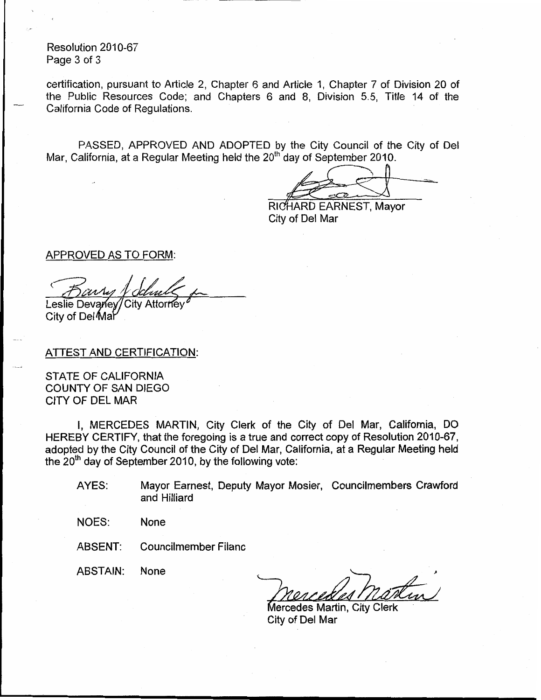Resolution 2010-67 Page 3 of 3

certification, pursuant to Article 2, Chapter 6 and Article 1, Chapter 7 of Division 20 of the Public Resources Code; and Chapters 6 and 8, Division 5.5, Title 14 of the California Code of Regulations.

PASSED, APPROVED AND ADOPTED by the City Council of the City of Del Mar, California, at a Regular Meeting held the 20<sup>th</sup> day of September 2010.

RICHARD EARNEST, Mayor City of Del Mar

**APPROVED AS TO FORM:** 

Leslie Devaney/City Attorney

City of Del Mar

ATTEST AND CERTIFICATION:

STATE OF CALIFORNIA COUNTY OF SAN DIEGO CITY OF DEL MAR

I, MERCEDES MARTIN, City Clerk of the City of Del Mar, California, DO HEREBY CERTIFY, that the foregoing is a true and correct copy of Resolution 2010-67, adopted by the City Council of the City of Del Mar, California, at a Regular Meeting held the  $20<sup>th</sup>$  day of September 2010, by the following vote:

- Mayor Earnest, Deputy Mayor Mosier, Councilmembers Crawford AYES: and Hilliard
- None **NOES:**

**Councilmember Filanc** ABSENT:

**ABSTAIN:** None

Mercedes Martin, City Clerk City of Del Mar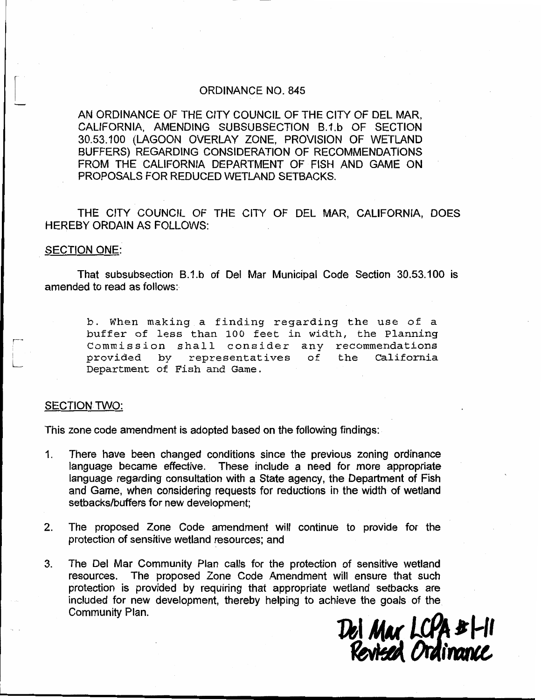#### **ORDINANCE NO. 845**

AN ORDINANCE OF THE CITY COUNCIL OF THE CITY OF DEL MAR, CALIFORNIA, AMENDING SUBSUBSECTION B.1.b OF SECTION 30.53.100 (LAGOON OVERLAY ZONE, PROVISION OF WETLAND BUFFERS) REGARDING CONSIDERATION OF RECOMMENDATIONS FROM THE CALIFORNIA DEPARTMENT OF FISH AND GAME ON PROPOSALS FOR REDUCED WETLAND SETBACKS.

THE CITY COUNCIL OF THE CITY OF DEL MAR, CALIFORNIA, DOES **HEREBY ORDAIN AS FOLLOWS:** 

#### **SECTION ONE:**

That subsubsection B.1.b of Del Mar Municipal Code Section 30.53.100 is amended to read as follows:

b. When making a finding regarding the use of a buffer of less than 100 feet in width, the Planning Commission shall consider any recommendations provided by representatives of the California Department of Fish and Game.

#### **SECTION TWO:**

This zone code amendment is adopted based on the following findings:

- There have been changed conditions since the previous zoning ordinance  $\mathbf 1$ . language became effective. These include a need for more appropriate language regarding consultation with a State agency, the Department of Fish and Game, when considering requests for reductions in the width of wetland setbacks/buffers for new development;
- $2<sup>2</sup>$ The proposed Zone Code amendment will continue to provide for the protection of sensitive wetland resources; and
- $3.$ The Del Mar Community Plan calls for the protection of sensitive wetland resources. The proposed Zone Code Amendment will ensure that such protection is provided by requiring that appropriate wetland setbacks are included for new development, thereby helping to achieve the goals of the Community Plan.

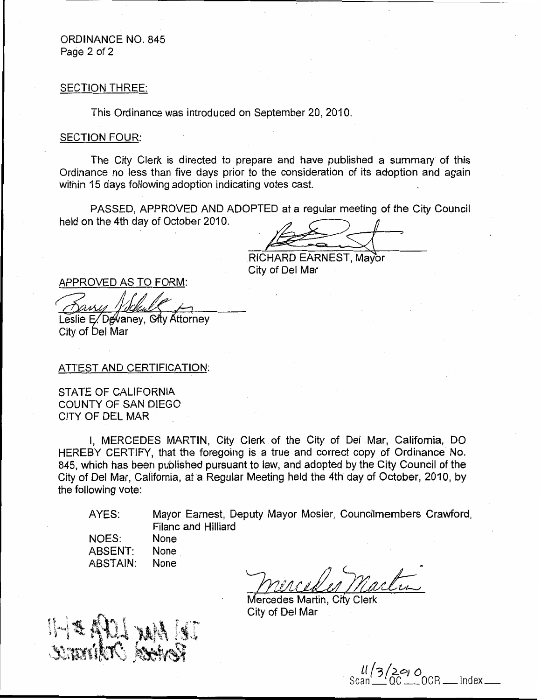### **ORDINANCE NO. 845** Page 2 of 2

#### **SECTION THREE:**

This Ordinance was introduced on September 20, 2010.

#### **SECTION FOUR:**

The City Clerk is directed to prepare and have published a summary of this Ordinance no less than five days prior to the consideration of its adoption and again within 15 days following adoption indicating votes cast.

PASSED, APPROVED AND ADOPTED at a regular meeting of the City Council held on the 4th day of October 2010.

RICHARD EARNEST, Mayor City of Del Mar

APPROVED AS TO FORM:

Leslie E. Devaney, City Attorney City of Del Mar

ATTEST AND CERTIFICATION:

STATE OF CALIFORNIA COUNTY OF SAN DIEGO CITY OF DEL MAR

I, MERCEDES MARTIN, City Clerk of the City of Del Mar, California, DO HEREBY CERTIFY, that the foregoing is a true and correct copy of Ordinance No. 845, which has been published pursuant to law, and adopted by the City Council of the City of Del Mar, California, at a Regular Meeting held the 4th day of October, 2010, by the following vote:

AYES:

Mayor Earnest, Deputy Mayor Mosier, Councilmembers Crawford, Filanc and Hilliard

| NOES:    | None |
|----------|------|
| ABSENT:  | None |
| ABSTAIN: | None |

Mercedes Martin, City Clerk City of Del Mar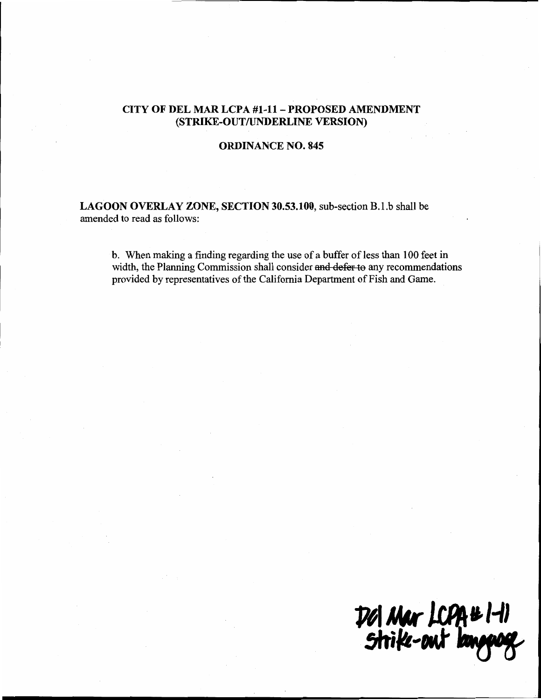### CITY OF DEL MAR LCPA #1-11 - PROPOSED AMENDMENT (STRIKE-OUT/UNDERLINE VERSION)

### **ORDINANCE NO. 845**

LAGOON OVERLAY ZONE, SECTION 30.53.100, sub-section B.1.b shall be amended to read as follows:

b. When making a finding regarding the use of a buffer of less than 100 feet in width, the Planning Commission shall consider and defer to any recommendations provided by representatives of the California Department of Fish and Game.

Dol Mar LCPA#1-11<br>Strike-out language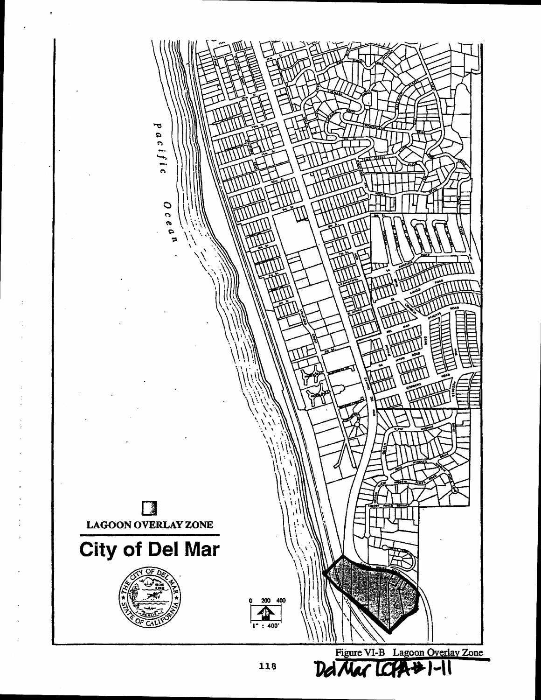